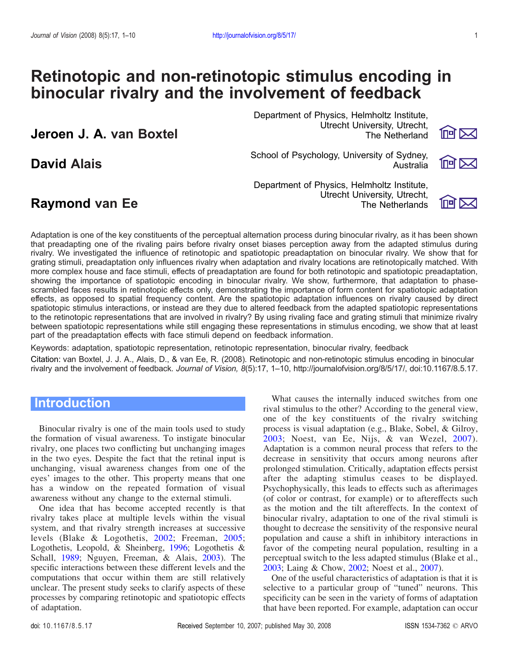# <span id="page-0-0"></span>Retinotopic and non-retinotopic stimulus encoding in binocular rivalry and the involvement of feedback

Jeroen J. A. van Boxtel

Department of Physics, Helmholtz Institute, Utrecht University, Utrecht,

School of Psychology, University of Sydney, David Alais **David Alais Contract Australia** 



 $1$ ngi $\sum$ 



Department of Physics, Helmholtz Institute, Utrecht University, Utrecht, Raymond van Ee The Netherlands



Adaptation is one of the key constituents of the perceptual alternation process during binocular rivalry, as it has been shown that preadapting one of the rivaling pairs before rivalry onset biases perception away from the adapted stimulus during rivalry. We investigated the influence of retinotopic and spatiotopic preadaptation on binocular rivalry. We show that for grating stimuli, preadaptation only influences rivalry when adaptation and rivalry locations are retinotopically matched. With more complex house and face stimuli, effects of preadaptation are found for both retinotopic and spatiotopic preadaptation, showing the importance of spatiotopic encoding in binocular rivalry. We show, furthermore, that adaptation to phasescrambled faces results in retinotopic effects only, demonstrating the importance of form content for spatiotopic adaptation effects, as opposed to spatial frequency content. Are the spatiotopic adaptation influences on rivalry caused by direct spatiotopic stimulus interactions, or instead are they due to altered feedback from the adapted spatiotopic representations to the retinotopic representations that are involved in rivalry? By using rivaling face and grating stimuli that minimize rivalry between spatiotopic representations while still engaging these representations in stimulus encoding, we show that at least part of the preadaptation effects with face stimuli depend on feedback information.

Keywords: adaptation, spatiotopic representation, retinotopic representation, binocular rivalry, feedback

Citation: van Boxtel, J. J. A., Alais, D., & van Ee, R. (2008). Retinotopic and non-retinotopic stimulus encoding in binocular rivalry and the involvement of feedback. Journal of Vision, 8(5):17, 1–10, http://journalofvision.org/8/5/17/, doi:10.1167/8.5.17.

## **Introduction**

Binocular rivalry is one of the main tools used to study the formation of visual awareness. To instigate binocular rivalry, one places two conflicting but unchanging images in the two eyes. Despite the fact that the retinal input is unchanging, visual awareness changes from one of the eyes' images to the other. This property means that one has a window on the repeated formation of visual awareness without any change to the external stimuli.

One idea that has become accepted recently is that rivalry takes place at multiple levels within the visual system, and that rivalry strength increases at successive levels (Blake & Logothetis, [2002](#page-8-0); Freeman, [2005](#page-8-0); Logothetis, Leopold, & Sheinberg, [1996;](#page-9-0) Logothetis & Schall, [1989](#page-9-0); Nguyen, Freeman, & Alais, [2003](#page-9-0)). The specific interactions between these different levels and the computations that occur within them are still relatively unclear. The present study seeks to clarify aspects of these processes by comparing retinotopic and spatiotopic effects of adaptation.

What causes the internally induced switches from one rival stimulus to the other? According to the general view, one of the key constituents of the rivalry switching process is visual adaptation (e.g., Blake, Sobel, & Gilroy, [2003;](#page-8-0) Noest, van Ee, Nijs, & van Wezel, [2007](#page-9-0)). Adaptation is a common neural process that refers to the decrease in sensitivity that occurs among neurons after prolonged stimulation. Critically, adaptation effects persist after the adapting stimulus ceases to be displayed. Psychophysically, this leads to effects such as afterimages (of color or contrast, for example) or to aftereffects such as the motion and the tilt aftereffects. In the context of binocular rivalry, adaptation to one of the rival stimuli is thought to decrease the sensitivity of the responsive neural population and cause a shift in inhibitory interactions in favor of the competing neural population, resulting in a perceptual switch to the less adapted stimulus (Blake et al., [2003;](#page-8-0) Laing & Chow, [2002](#page-9-0); Noest et al., [2007\)](#page-9-0).

One of the useful characteristics of adaptation is that it is selective to a particular group of "tuned" neurons. This specificity can be seen in the variety of forms of adaptation that have been reported. For example, adaptation can occur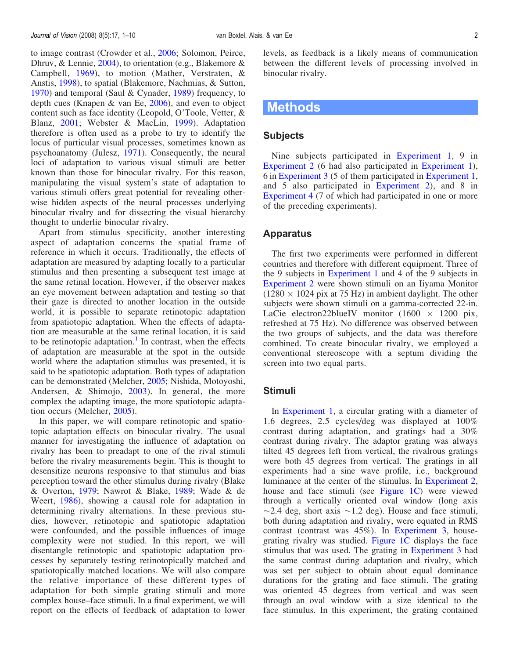to image contrast (Crowder et al., [2006;](#page-8-0) Solomon, Peirce, Dhruv, & Lennie, [2004\)](#page-9-0), to orientation (e.g., Blakemore & Campbell, [1969\)](#page-8-0), to motion (Mather, Verstraten, & Anstis, [1998\)](#page-9-0), to spatial (Blakemore, Nachmias, & Sutton, [1970\)](#page-8-0) and temporal (Saul & Cynader, [1989](#page-9-0)) frequency, to depth cues (Knapen  $\&$  van Ee, [2006\)](#page-8-0), and even to object content such as face identity (Leopold, O'Toole, Vetter, & Blanz, [2001](#page-9-0); Webster & MacLin, [1999](#page-9-0)). Adaptation therefore is often used as a probe to try to identify the locus of particular visual processes, sometimes known as psychoanatomy (Julesz, [1971](#page-8-0)). Consequently, the neural loci of adaptation to various visual stimuli are better known than those for binocular rivalry. For this reason, manipulating the visual system's state of adaptation to various stimuli offers great potential for revealing otherwise hidden aspects of the neural processes underlying binocular rivalry and for dissecting the visual hierarchy thought to underlie binocular rivalry.

Apart from stimulus specificity, another interesting aspect of adaptation concerns the spatial frame of reference in which it occurs. Traditionally, the effects of adaptation are measured by adapting locally to a particular stimulus and then presenting a subsequent test image at the same retinal location. However, if the observer makes an eye movement between adaptation and testing so that their gaze is directed to another location in the outside world, it is possible to separate retinotopic adaptation from spatiotopic adaptation. When the effects of adaptation are measurable at the same retinal location, it is said to be retinotopic adaptation.<sup>1</sup> In contrast, when the effects of adaptation are measurable at the spot in the outside world where the adaptation stimulus was presented, it is said to be spatiotopic adaptation. Both types of adaptation can be demonstrated (Melcher, [2005;](#page-9-0) Nishida, Motoyoshi, Andersen, & Shimojo, [2003](#page-9-0)). In general, the more complex the adapting image, the more spatiotopic adaptation occurs (Melcher, [2005](#page-9-0)).

In this paper, we will compare retinotopic and spatiotopic adaptation effects on binocular rivalry. The usual manner for investigating the influence of adaptation on rivalry has been to preadapt to one of the rival stimuli before the rivalry measurements begin. This is thought to desensitize neurons responsive to that stimulus and bias perception toward the other stimulus during rivalry (Blake & Overton, [1979](#page-8-0); Nawrot & Blake, [1989;](#page-9-0) Wade & de Weert, [1986\)](#page-9-0), showing a causal role for adaptation in determining rivalry alternations. In these previous studies, however, retinotopic and spatiotopic adaptation were confounded, and the possible influences of image complexity were not studied. In this report, we will disentangle retinotopic and spatiotopic adaptation processes by separately testing retinotopically matched and spatiotopically matched locations. We will also compare the relative importance of these different types of adaptation for both simple grating stimuli and more complex house–face stimuli. In a final experiment, we will report on the effects of feedback of adaptation to lower levels, as feedback is a likely means of communication between the different levels of processing involved in binocular rivalry.

#### Methods

#### Subjects

Nine subjects participated in [Experiment 1](#page-2-0), 9 in [Experiment 2](#page-3-0) (6 had also participated in [Experiment 1\)](#page-2-0), 6 in [Experiment 3](#page-4-0) (5 of them participated in [Experiment 1](#page-2-0), and 5 also participated in [Experiment 2](#page-3-0)), and 8 in [Experiment 4](#page-5-0) (7 of which had participated in one or more of the preceding experiments).

#### Apparatus

The first two experiments were performed in different countries and therefore with different equipment. Three of the 9 subjects in [Experiment 1](#page-2-0) and 4 of the 9 subjects in [Experiment 2](#page-3-0) were shown stimuli on an Iiyama Monitor  $(1280 \times 1024$  pix at 75 Hz) in ambient daylight. The other subjects were shown stimuli on a gamma-corrected 22-in. LaCie electron22blueIV monitor  $(1600 \times 1200)$  pix, refreshed at 75 Hz). No difference was observed between the two groups of subjects, and the data was therefore combined. To create binocular rivalry, we employed a conventional stereoscope with a septum dividing the screen into two equal parts.

#### Stimuli

In [Experiment 1](#page-2-0), a circular grating with a diameter of 1.6 degrees, 2.5 cycles/deg was displayed at 100% contrast during adaptation, and gratings had a 30% contrast during rivalry. The adaptor grating was always tilted 45 degrees left from vertical, the rivalrous gratings were both 45 degrees from vertical. The gratings in all experiments had a sine wave profile, i.e., background luminance at the center of the stimulus. In [Experiment 2](#page-3-0), house and face stimuli (see [Figure 1C](#page-2-0)) were viewed through a vertically oriented oval window (long axis  $\sim$  2.4 deg, short axis  $\sim$  1.2 deg). House and face stimuli, both during adaptation and rivalry, were equated in RMS contrast (contrast was 45%). In [Experiment 3](#page-4-0), housegrating rivalry was studied. [Figure 1C](#page-2-0) displays the face stimulus that was used. The grating in [Experiment 3](#page-4-0) had the same contrast during adaptation and rivalry, which was set per subject to obtain about equal dominance durations for the grating and face stimuli. The grating was oriented 45 degrees from vertical and was seen through an oval window with a size identical to the face stimulus. In this experiment, the grating contained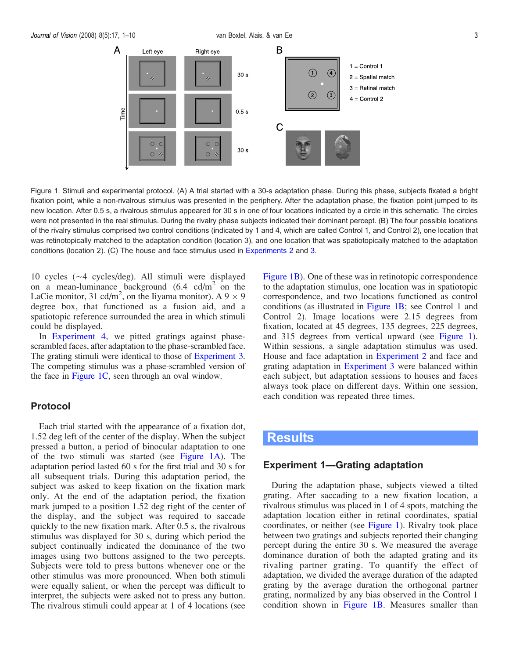<span id="page-2-0"></span>

Figure 1. Stimuli and experimental protocol. (A) A trial started with a 30-s adaptation phase. During this phase, subjects fixated a bright fixation point, while a non-rivalrous stimulus was presented in the periphery. After the adaptation phase, the fixation point jumped to its new location. After 0.5 s, a rivalrous stimulus appeared for 30 s in one of four locations indicated by a circle in this schematic. The circles were not presented in the real stimulus. During the rivalry phase subjects indicated their dominant percept. (B) The four possible locations of the rivalry stimulus comprised two control conditions (indicated by 1 and 4, which are called Control 1, and Control 2), one location that was retinotopically matched to the adaptation condition (location 3), and one location that was spatiotopically matched to the adaptation conditions (location 2). (C) The house and face stimulus used in [Experiments 2](#page-3-0) and [3.](#page-4-0)

10 cycles  $(\sim 4 \text{ cycles/deg})$ . All stimuli were displayed on a mean-luminance background  $(6.4 \text{ cd/m}^2)$  on the LaCie monitor, 31 cd/m<sup>2</sup>, on the Iiyama monitor). A  $9 \times 9$ degree box, that functioned as a fusion aid, and a spatiotopic reference surrounded the area in which stimuli could be displayed.

In [Experiment 4](#page-5-0), we pitted gratings against phasescrambled faces, after adaptation to the phase-scrambled face. The grating stimuli were identical to those of [Experiment 3](#page-4-0). The competing stimulus was a phase-scrambled version of the face in Figure 1C, seen through an oval window.

#### Protocol

Each trial started with the appearance of a fixation dot, 1.52 deg left of the center of the display. When the subject pressed a button, a period of binocular adaptation to one of the two stimuli was started (see Figure  $1A$ ). The adaptation period lasted 60 s for the first trial and 30 s for all subsequent trials. During this adaptation period, the subject was asked to keep fixation on the fixation mark only. At the end of the adaptation period, the fixation mark jumped to a position 1.52 deg right of the center of the display, and the subject was required to saccade quickly to the new fixation mark. After 0.5 s, the rivalrous stimulus was displayed for 30 s, during which period the subject continually indicated the dominance of the two images using two buttons assigned to the two percepts. Subjects were told to press buttons whenever one or the other stimulus was more pronounced. When both stimuli were equally salient, or when the percept was difficult to interpret, the subjects were asked not to press any button. The rivalrous stimuli could appear at 1 of 4 locations (see Figure 1B). One of these was in retinotopic correspondence to the adaptation stimulus, one location was in spatiotopic correspondence, and two locations functioned as control conditions (as illustrated in Figure 1B; see Control 1 and Control 2). Image locations were 2.15 degrees from fixation, located at 45 degrees, 135 degrees, 225 degrees, and 315 degrees from vertical upward (see Figure 1). Within sessions, a single adaptation stimulus was used. House and face adaptation in [Experiment 2](#page-3-0) and face and grating adaptation in [Experiment 3](#page-4-0) were balanced within each subject, but adaptation sessions to houses and faces always took place on different days. Within one session, each condition was repeated three times.

## **Results**

#### Experiment 1—Grating adaptation

During the adaptation phase, subjects viewed a tilted grating. After saccading to a new fixation location, a rivalrous stimulus was placed in 1 of 4 spots, matching the adaptation location either in retinal coordinates, spatial coordinates, or neither (see Figure 1). Rivalry took place between two gratings and subjects reported their changing percept during the entire 30 s. We measured the average dominance duration of both the adapted grating and its rivaling partner grating. To quantify the effect of adaptation, we divided the average duration of the adapted grating by the average duration the orthogonal partner grating, normalized by any bias observed in the Control 1 condition shown in Figure 1B. Measures smaller than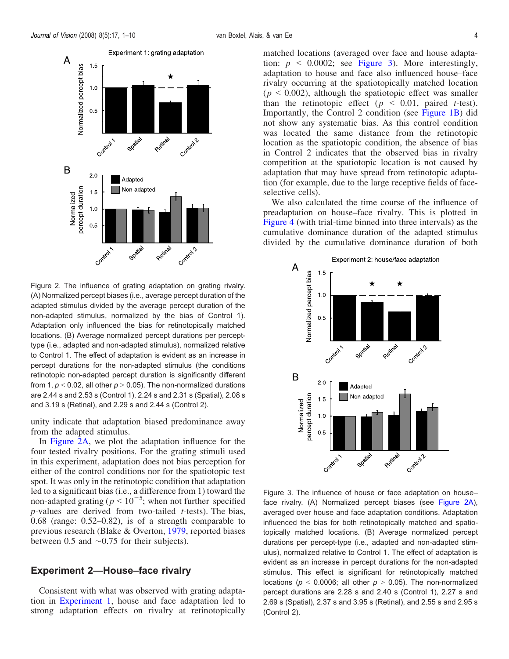<span id="page-3-0"></span>

Figure 2. The influence of grating adaptation on grating rivalry. (A) Normalized percept biases (i.e., average percept duration of the adapted stimulus divided by the average percept duration of the non-adapted stimulus, normalized by the bias of Control 1). Adaptation only influenced the bias for retinotopically matched locations. (B) Average normalized percept durations per percepttype (i.e., adapted and non-adapted stimulus), normalized relative to Control 1. The effect of adaptation is evident as an increase in percept durations for the non-adapted stimulus (the conditions retinotopic non-adapted percept duration is significantly different from 1,  $p < 0.02$ , all other  $p > 0.05$ ). The non-normalized durations are 2.44 s and 2.53 s (Control 1), 2.24 s and 2.31 s (Spatial), 2.08 s and 3.19 s (Retinal), and 2.29 s and 2.44 s (Control 2).

unity indicate that adaptation biased predominance away from the adapted stimulus.

In Figure 2A, we plot the adaptation influence for the four tested rivalry positions. For the grating stimuli used in this experiment, adaptation does not bias perception for either of the control conditions nor for the spatiotopic test spot. It was only in the retinotopic condition that adaptation led to a significant bias (i.e., a difference from 1) toward the non-adapted grating ( $p < 10^{-5}$ ; when not further specified  $p$ -values are derived from two-tailed  $t$ -tests). The bias, 0.68 (range: 0.52–0.82), is of a strength comparable to previous research (Blake & Overton, [1979,](#page-8-0) reported biases between 0.5 and  $\sim$  0.75 for their subjects).

#### Experiment 2—House–face rivalry

Consistent with what was observed with grating adaptation in [Experiment 1,](#page-2-0) house and face adaptation led to strong adaptation effects on rivalry at retinotopically matched locations (averaged over face and house adaptation:  $p \le 0.0002$ ; see Figure 3). More interestingly, adaptation to house and face also influenced house–face rivalry occurring at the spatiotopically matched location  $(p < 0.002)$ , although the spatiotopic effect was smaller than the retinotopic effect ( $p < 0.01$ , paired t-test). Importantly, the Control 2 condition (see [Figure 1B](#page-2-0)) did not show any systematic bias. As this control condition was located the same distance from the retinotopic location as the spatiotopic condition, the absence of bias in Control 2 indicates that the observed bias in rivalry competition at the spatiotopic location is not caused by adaptation that may have spread from retinotopic adaptation (for example, due to the large receptive fields of faceselective cells).

We also calculated the time course of the influence of preadaptation on house–face rivalry. This is plotted in [Figure 4](#page-4-0) (with trial-time binned into three intervals) as the cumulative dominance duration of the adapted stimulus divided by the cumulative dominance duration of both



Figure 3. The influence of house or face adaptation on house– face rivalry. (A) Normalized percept biases (see Figure 2A), averaged over house and face adaptation conditions. Adaptation influenced the bias for both retinotopically matched and spatiotopically matched locations. (B) Average normalized percept durations per percept-type (i.e., adapted and non-adapted stimulus), normalized relative to Control 1. The effect of adaptation is evident as an increase in percept durations for the non-adapted stimulus. This effect is significant for retinotopically matched locations ( $p < 0.0006$ ; all other  $p > 0.05$ ). The non-normalized percept durations are 2.28 s and 2.40 s (Control 1), 2.27 s and 2.69 s (Spatial), 2.37 s and 3.95 s (Retinal), and 2.55 s and 2.95 s (Control 2).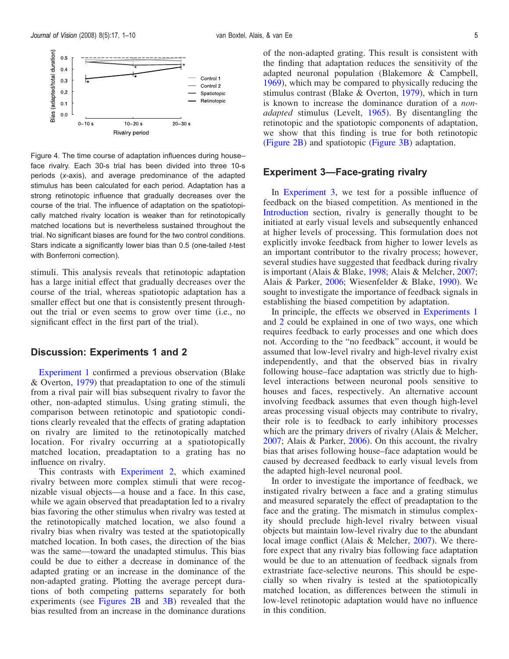<span id="page-4-0"></span>

Figure 4. The time course of adaptation influences during house– face rivalry. Each 30-s trial has been divided into three 10-s periods (x-axis), and average predominance of the adapted stimulus has been calculated for each period. Adaptation has a strong retinotopic influence that gradually decreases over the course of the trial. The influence of adaptation on the spatiotopically matched rivalry location is weaker than for retinotopically matched locations but is nevertheless sustained throughout the trial. No significant biases are found for the two control conditions. Stars indicate a significantly lower bias than 0.5 (one-tailed t-test with Bonferroni correction).

stimuli. This analysis reveals that retinotopic adaptation has a large initial effect that gradually decreases over the course of the trial, whereas spatiotopic adaptation has a smaller effect but one that is consistently present throughout the trial or even seems to grow over time (i.e., no significant effect in the first part of the trial).

#### Discussion: Experiments 1 and 2

[Experiment 1](#page-2-0) confirmed a previous observation (Blake & Overton, [1979](#page-8-0)) that preadaptation to one of the stimuli from a rival pair will bias subsequent rivalry to favor the other, non-adapted stimulus. Using grating stimuli, the comparison between retinotopic and spatiotopic conditions clearly revealed that the effects of grating adaptation on rivalry are limited to the retinotopically matched location. For rivalry occurring at a spatiotopically matched location, preadaptation to a grating has no influence on rivalry.

This contrasts with [Experiment 2](#page-3-0), which examined rivalry between more complex stimuli that were recognizable visual objects—a house and a face. In this case, while we again observed that preadaptation led to a rivalry bias favoring the other stimulus when rivalry was tested at the retinotopically matched location, we also found a rivalry bias when rivalry was tested at the spatiotopically matched location. In both cases, the direction of the bias was the same—toward the unadapted stimulus. This bias could be due to either a decrease in dominance of the adapted grating or an increase in the dominance of the non-adapted grating. Plotting the average percept durations of both competing patterns separately for both experiments (see [Figures 2B](#page-3-0) and [3B\)](#page-3-0) revealed that the bias resulted from an increase in the dominance durations

of the non-adapted grating. This result is consistent with the finding that adaptation reduces the sensitivity of the adapted neuronal population (Blakemore & Campbell, [1969\)](#page-8-0), which may be compared to physically reducing the stimulus contrast (Blake & Overton, [1979\)](#page-8-0), which in turn is known to increase the dominance duration of a nonadapted stimulus (Levelt, [1965](#page-9-0)). By disentangling the retinotopic and the spatiotopic components of adaptation, we show that this finding is true for both retinotopic [\(Figure 2B](#page-3-0)) and spatiotopic ([Figure 3B\)](#page-3-0) adaptation.

### Experiment 3—Face-grating rivalry

In Experiment 3, we test for a possible influence of feedback on the biased competition. As mentioned in the [Introduction](#page-0-0) section, rivalry is generally thought to be initiated at early visual levels and subsequently enhanced at higher levels of processing. This formulation does not explicitly invoke feedback from higher to lower levels as an important contributor to the rivalry process; however, several studies have suggested that feedback during rivalry is important (Alais & Blake, [1998](#page-8-0); Alais & Melcher, [2007;](#page-8-0) Alais & Parker, [2006](#page-8-0); Wiesenfelder & Blake, [1990](#page-9-0)). We sought to investigate the importance of feedback signals in establishing the biased competition by adaptation.

In principle, the effects we observed in [Experiments 1](#page-2-0) and [2](#page-3-0) could be explained in one of two ways, one which requires feedback to early processes and one which does not. According to the "no feedback" account, it would be assumed that low-level rivalry and high-level rivalry exist independently, and that the observed bias in rivalry following house–face adaptation was strictly due to highlevel interactions between neuronal pools sensitive to houses and faces, respectively. An alternative account involving feedback assumes that even though high-level areas processing visual objects may contribute to rivalry, their role is to feedback to early inhibitory processes which are the primary drivers of rivalry (Alais & Melcher, [2007;](#page-8-0) Alais & Parker, [2006](#page-8-0)). On this account, the rivalry bias that arises following house–face adaptation would be caused by decreased feedback to early visual levels from the adapted high-level neuronal pool.

In order to investigate the importance of feedback, we instigated rivalry between a face and a grating stimulus and measured separately the effect of preadaptation to the face and the grating. The mismatch in stimulus complexity should preclude high-level rivalry between visual objects but maintain low-level rivalry due to the abundant local image conflict (Alais & Melcher, [2007](#page-8-0)). We therefore expect that any rivalry bias following face adaptation would be due to an attenuation of feedback signals from extrastriate face-selective neurons. This should be especially so when rivalry is tested at the spatiotopically matched location, as differences between the stimuli in low-level retinotopic adaptation would have no influence in this condition.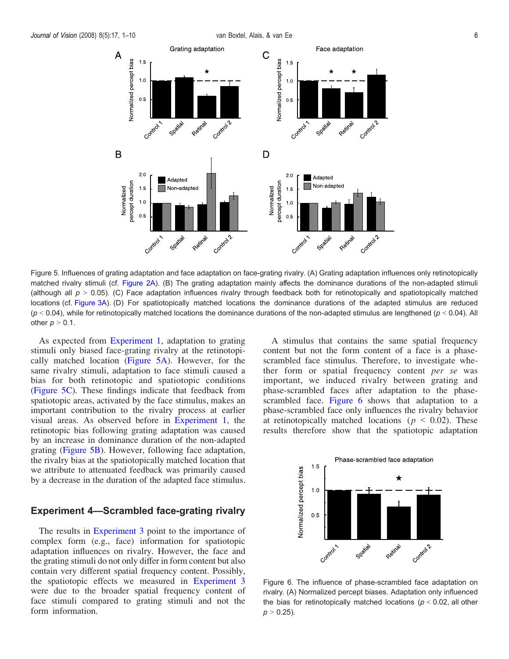<span id="page-5-0"></span>

Figure 5. Influences of grating adaptation and face adaptation on face-grating rivalry. (A) Grating adaptation influences only retinotopically matched rivalry stimuli (cf. [Figure 2A\)](#page-3-0). (B) The grating adaptation mainly affects the dominance durations of the non-adapted stimuli (although all  $p > 0.05$ ). (C) Face adaptation influences rivalry through feedback both for retinotopically and spatiotopically matched locations (cf. [Figure 3A](#page-3-0)). (D) For spatiotopically matched locations the dominance durations of the adapted stimulus are reduced  $(p < 0.04)$ , while for retinotopically matched locations the dominance durations of the non-adapted stimulus are lengthened ( $p < 0.04$ ). All other  $p > 0.1$ .

As expected from [Experiment 1,](#page-2-0) adaptation to grating stimuli only biased face-grating rivalry at the retinotopically matched location (Figure 5A). However, for the same rivalry stimuli, adaptation to face stimuli caused a bias for both retinotopic and spatiotopic conditions (Figure 5C). These findings indicate that feedback from spatiotopic areas, activated by the face stimulus, makes an important contribution to the rivalry process at earlier visual areas. As observed before in [Experiment 1](#page-2-0), the retinotopic bias following grating adaptation was caused by an increase in dominance duration of the non-adapted grating (Figure 5B). However, following face adaptation, the rivalry bias at the spatiotopically matched location that we attribute to attenuated feedback was primarily caused by a decrease in the duration of the adapted face stimulus.

#### Experiment 4—Scrambled face-grating rivalry

The results in [Experiment 3](#page-4-0) point to the importance of complex form (e.g., face) information for spatiotopic adaptation influences on rivalry. However, the face and the grating stimuli do not only differ in form content but also contain very different spatial frequency content. Possibly, the spatiotopic effects we measured in [Experiment 3](#page-4-0) were due to the broader spatial frequency content of face stimuli compared to grating stimuli and not the form information.

A stimulus that contains the same spatial frequency content but not the form content of a face is a phasescrambled face stimulus. Therefore, to investigate whether form or spatial frequency content per se was important, we induced rivalry between grating and phase-scrambled faces after adaptation to the phasescrambled face. Figure 6 shows that adaptation to a phase-scrambled face only influences the rivalry behavior at retinotopically matched locations ( $p < 0.02$ ). These results therefore show that the spatiotopic adaptation



Figure 6. The influence of phase-scrambled face adaptation on rivalry. (A) Normalized percept biases. Adaptation only influenced the bias for retinotopically matched locations ( $p < 0.02$ , all other  $p > 0.25$ ).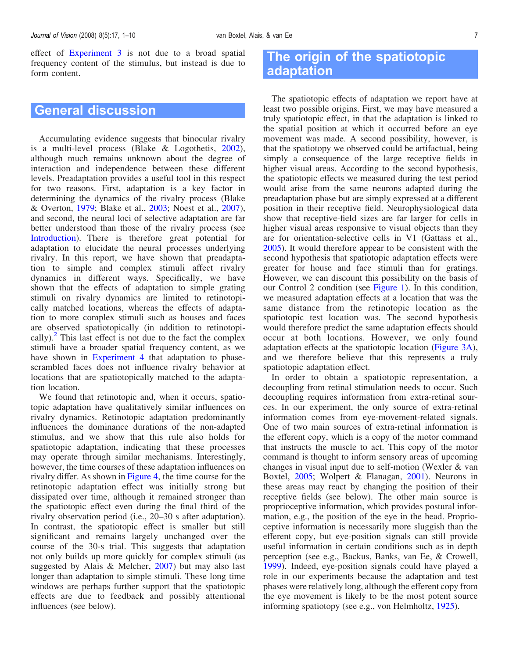effect of [Experiment 3](#page-4-0) is not due to a broad spatial frequency content of the stimulus, but instead is due to form content.

## General discussion

Accumulating evidence suggests that binocular rivalry is a multi-level process (Blake & Logothetis, [2002\)](#page-8-0), although much remains unknown about the degree of interaction and independence between these different levels. Preadaptation provides a useful tool in this respect for two reasons. First, adaptation is a key factor in determining the dynamics of the rivalry process (Blake & Overton, [1979;](#page-8-0) Blake et al., [2003](#page-8-0); Noest et al., [2007\)](#page-9-0), and second, the neural loci of selective adaptation are far better understood than those of the rivalry process (see [Introduction\)](#page-0-0). There is therefore great potential for adaptation to elucidate the neural processes underlying rivalry. In this report, we have shown that preadaptation to simple and complex stimuli affect rivalry dynamics in different ways. Specifically, we have shown that the effects of adaptation to simple grating stimuli on rivalry dynamics are limited to retinotopically matched locations, whereas the effects of adaptation to more complex stimuli such as houses and faces are observed spatiotopically (in addition to retinotopically). $^2$  $^2$  This last effect is not due to the fact the complex stimuli have a broader spatial frequency content, as we have shown in Experiment 4 that adaptation to phasescrambled faces does not influence rivalry behavior at locations that are spatiotopically matched to the adaptation location.

We found that retinotopic and, when it occurs, spatiotopic adaptation have qualitatively similar influences on rivalry dynamics. Retinotopic adaptation predominantly influences the dominance durations of the non-adapted stimulus, and we show that this rule also holds for spatiotopic adaptation, indicating that these processes may operate through similar mechanisms. Interestingly, however, the time courses of these adaptation influences on rivalry differ. As shown in [Figure 4](#page-4-0), the time course for the retinotopic adaptation effect was initially strong but dissipated over time, although it remained stronger than the spatiotopic effect even during the final third of the rivalry observation period (i.e., 20–30 s after adaptation). In contrast, the spatiotopic effect is smaller but still significant and remains largely unchanged over the course of the 30-s trial. This suggests that adaptation not only builds up more quickly for complex stimuli (as suggested by Alais & Melcher, [2007](#page-8-0)) but may also last longer than adaptation to simple stimuli. These long time windows are perhaps further support that the spatiotopic effects are due to feedback and possibly attentional influences (see below).

## The origin of the spatiotopic adaptation

The spatiotopic effects of adaptation we report have at least two possible origins. First, we may have measured a truly spatiotopic effect, in that the adaptation is linked to the spatial position at which it occurred before an eye movement was made. A second possibility, however, is that the spatiotopy we observed could be artifactual, being simply a consequence of the large receptive fields in higher visual areas. According to the second hypothesis, the spatiotopic effects we measured during the test period would arise from the same neurons adapted during the preadaptation phase but are simply expressed at a different position in their receptive field. Neurophysiological data show that receptive-field sizes are far larger for cells in higher visual areas responsive to visual objects than they are for orientation-selective cells in V1 (Gattass et al., [2005\)](#page-8-0). It would therefore appear to be consistent with the second hypothesis that spatiotopic adaptation effects were greater for house and face stimuli than for gratings. However, we can discount this possibility on the basis of our Control 2 condition (see [Figure 1](#page-2-0)). In this condition, we measured adaptation effects at a location that was the same distance from the retinotopic location as the spatiotopic test location was. The second hypothesis would therefore predict the same adaptation effects should occur at both locations. However, we only found adaptation effects at the spatiotopic location ([Figure 3A\)](#page-3-0), and we therefore believe that this represents a truly spatiotopic adaptation effect.

In order to obtain a spatiotopic representation, a decoupling from retinal stimulation needs to occur. Such decoupling requires information from extra-retinal sources. In our experiment, the only source of extra-retinal information comes from eye-movement-related signals. One of two main sources of extra-retinal information is the efferent copy, which is a copy of the motor command that instructs the muscle to act. This copy of the motor command is thought to inform sensory areas of upcoming changes in visual input due to self-motion (Wexler & van Boxtel, [2005](#page-9-0); Wolpert & Flanagan, [2001\)](#page-9-0). Neurons in these areas may react by changing the position of their receptive fields (see below). The other main source is proprioceptive information, which provides postural information, e.g., the position of the eye in the head. Proprioceptive information is necessarily more sluggish than the efferent copy, but eye-position signals can still provide useful information in certain conditions such as in depth perception (see e.g., Backus, Banks, van Ee, & Crowell, [1999\)](#page-8-0). Indeed, eye-position signals could have played a role in our experiments because the adaptation and test phases were relatively long, although the efferent copy from the eye movement is likely to be the most potent source informing spatiotopy (see e.g., von Helmholtz, [1925\)](#page-9-0).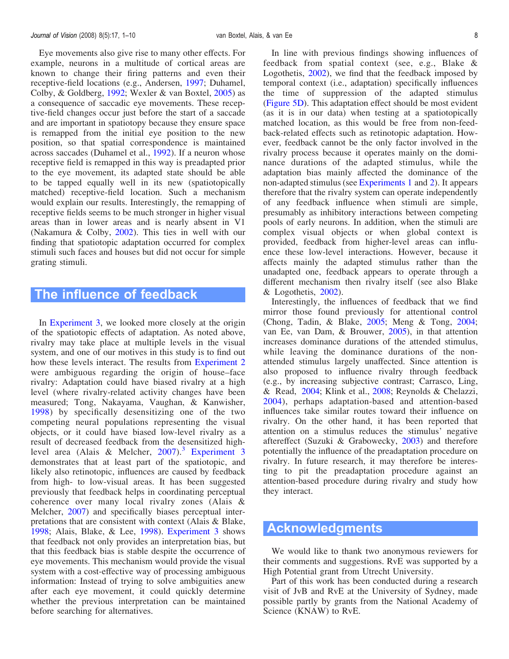Eye movements also give rise to many other effects. For example, neurons in a multitude of cortical areas are known to change their firing patterns and even their receptive-field locations (e.g., Andersen, [1997](#page-8-0); Duhamel, Colby, & Goldberg, [1992](#page-8-0); Wexler & van Boxtel, [2005](#page-9-0)) as a consequence of saccadic eye movements. These receptive-field changes occur just before the start of a saccade and are important in spatiotopy because they ensure space is remapped from the initial eye position to the new position, so that spatial correspondence is maintained across saccades (Duhamel et al., [1992\)](#page-8-0). If a neuron whose receptive field is remapped in this way is preadapted prior to the eye movement, its adapted state should be able to be tapped equally well in its new (spatiotopically matched) receptive-field location. Such a mechanism would explain our results. Interestingly, the remapping of receptive fields seems to be much stronger in higher visual areas than in lower areas and is nearly absent in V1 (Nakamura & Colby, [2002](#page-9-0)). This ties in well with our finding that spatiotopic adaptation occurred for complex stimuli such faces and houses but did not occur for simple grating stimuli.

## The influence of feedback

In [Experiment 3,](#page-4-0) we looked more closely at the origin of the spatiotopic effects of adaptation. As noted above, rivalry may take place at multiple levels in the visual system, and one of our motives in this study is to find out how these levels interact. The results from [Experiment 2](#page-3-0) were ambiguous regarding the origin of house–face rivalry: Adaptation could have biased rivalry at a high level (where rivalry-related activity changes have been measured; Tong, Nakayama, Vaughan, & Kanwisher, [1998\)](#page-9-0) by specifically desensitizing one of the two competing neural populations representing the visual objects, or it could have biased low-level rivalry as a result of decreased feedback from the desensitized high-level area (Alais & Melcher, [2007](#page-8-0)).<sup>[3](#page-8-0)</sup> [Experiment 3](#page-4-0) demonstrates that at least part of the spatiotopic, and likely also retinotopic, influences are caused by feedback from high- to low-visual areas. It has been suggested previously that feedback helps in coordinating perceptual coherence over many local rivalry zones (Alais & Melcher, [2007](#page-8-0)) and specifically biases perceptual interpretations that are consistent with context (Alais & Blake, [1998;](#page-8-0) Alais, Blake, & Lee, [1998](#page-8-0)). [Experiment 3](#page-4-0) shows that feedback not only provides an interpretation bias, but that this feedback bias is stable despite the occurrence of eye movements. This mechanism would provide the visual system with a cost-effective way of processing ambiguous information: Instead of trying to solve ambiguities anew after each eye movement, it could quickly determine whether the previous interpretation can be maintained before searching for alternatives.

In line with previous findings showing influences of feedback from spatial context (see, e.g., Blake & Logothetis, [2002\)](#page-8-0), we find that the feedback imposed by temporal context (i.e., adaptation) specifically influences the time of suppression of the adapted stimulus [\(Figure 5D](#page-5-0)). This adaptation effect should be most evident (as it is in our data) when testing at a spatiotopically matched location, as this would be free from non-feedback-related effects such as retinotopic adaptation. However, feedback cannot be the only factor involved in the rivalry process because it operates mainly on the dominance durations of the adapted stimulus, while the adaptation bias mainly affected the dominance of the non-adapted stimulus (see [Experiments 1](#page-2-0) and [2\)](#page-3-0). It appears therefore that the rivalry system can operate independently of any feedback influence when stimuli are simple, presumably as inhibitory interactions between competing pools of early neurons. In addition, when the stimuli are complex visual objects or when global context is provided, feedback from higher-level areas can influence these low-level interactions. However, because it affects mainly the adapted stimulus rather than the unadapted one, feedback appears to operate through a different mechanism then rivalry itself (see also Blake & Logothetis, [2002\)](#page-8-0).

Interestingly, the influences of feedback that we find mirror those found previously for attentional control (Chong, Tadin, & Blake, [2005](#page-8-0); Meng & Tong, [2004;](#page-9-0) van Ee, van Dam, & Brouwer, [2005](#page-9-0)), in that attention increases dominance durations of the attended stimulus, while leaving the dominance durations of the nonattended stimulus largely unaffected. Since attention is also proposed to influence rivalry through feedback (e.g., by increasing subjective contrast; Carrasco, Ling, & Read, [2004;](#page-8-0) Klink et al., [2008](#page-8-0); Reynolds & Chelazzi, [2004](#page-9-0)), perhaps adaptation-based and attention-based influences take similar routes toward their influence on rivalry. On the other hand, it has been reported that attention on a stimulus reduces the stimulus' negative aftereffect (Suzuki & Grabowecky, [2003](#page-9-0)) and therefore potentially the influence of the preadaptation procedure on rivalry. In future research, it may therefore be interesting to pit the preadaptation procedure against an attention-based procedure during rivalry and study how they interact.

## Acknowledgments

We would like to thank two anonymous reviewers for their comments and suggestions. RvE was supported by a High Potential grant from Utrecht University.

Part of this work has been conducted during a research visit of JvB and RvE at the University of Sydney, made possible partly by grants from the National Academy of Science (KNAW) to RvE.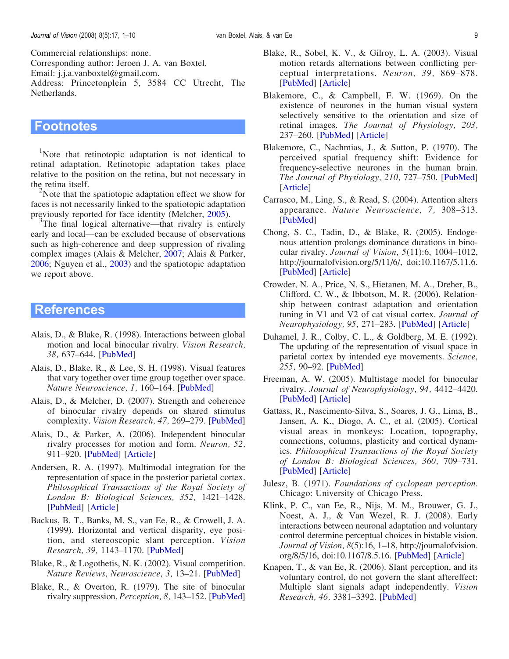<span id="page-8-0"></span>Commercial relationships: none. Corresponding author: Jeroen J. A. van Boxtel. Email: j.j.a.vanboxtel@gmail.com. Address: Princetonplein 5, 3584 CC Utrecht, The Netherlands.

## **Footnotes**

<sup>1</sup>Note that retinotopic adaptation is not identical to retinal adaptation. Retinotopic adaptation takes place relative to the position on the retina, but not necessary in the retina itself.

2 Note that the spatiotopic adaptation effect we show for faces is not necessarily linked to the spatiotopic adaptation previously reported for face identity (Melcher, [2005](#page-9-0)).

 $3$ The final logical alternative—that rivalry is entirely early and local—can be excluded because of observations such as high-coherence and deep suppression of rivaling complex images (Alais & Melcher, 2007; Alais & Parker, 2006; Nguyen et al., [2003](#page-9-0)) and the spatiotopic adaptation we report above.

## References

- Alais, D., & Blake, R. (1998). Interactions between global motion and local binocular rivalry. Vision Research, 38, 637–644. [\[PubMed](http://www.ncbi.nlm.nih.gov/pubmed/9604095?ordinalpos=33&itool=EntrezSystem2.PEntrez.Pubmed.Pubmed_ResultsPanel.Pubmed_RVDocSum)]
- Alais, D., Blake, R., & Lee, S. H. (1998). Visual features that vary together over time group together over space. Nature Neuroscience, 1, 160-164. [\[PubMed](http://www.ncbi.nlm.nih.gov/pubmed/10195133?ordinalpos=31&itool=EntrezSystem2.PEntrez.Pubmed.Pubmed_ResultsPanel.Pubmed_RVDocSum)]
- Alais, D., & Melcher, D. (2007). Strength and coherence of binocular rivalry depends on shared stimulus complexity. Vision Research, 47, 269-279. [[PubMed\]](http://www.ncbi.nlm.nih.gov/pubmed/17049579?ordinalpos=3&itool=EntrezSystem2.PEntrez.Pubmed.Pubmed_ResultsPanel.Pubmed_RVDocSum)
- Alais, D., & Parker, A. (2006). Independent binocular rivalry processes for motion and form. Neuron, 52, 911–920. [\[PubMed](http://www.ncbi.nlm.nih.gov/pubmed/17145510?ordinalpos=3&itool=EntrezSystem2.PEntrez.Pubmed.Pubmed_ResultsPanel.Pubmed_RVDocSum)] [\[Article\]](http://www.sciencedirect.com/science?_ob=ArticleURL&_udi=B6WSS-4MH8VK6-K&_user=10&_rdoc=1&_fmt=&_orig=search&_sort=d&view=c&_acct=C000050221&_version=1&_urlVersion=0&_userid=10&md5=486e12254021b4016bb35dd7a2a9086a)
- Andersen, R. A. (1997). Multimodal integration for the representation of space in the posterior parietal cortex. Philosophical Transactions of the Royal Society of London B: Biological Sciences, 352, 1421–1428. [\[PubMed](http://www.ncbi.nlm.nih.gov/pubmed/9368930?ordinalpos=7&itool=EntrezSystem2.PEntrez.Pubmed.Pubmed_ResultsPanel.Pubmed_RVDocSum)] [\[Article\]](http://www.pubmedcentral.nih.gov/articlerender.fcgi?tool=pubmed&pubmedid=9368930)
- Backus, B. T., Banks, M. S., van Ee, R., & Crowell, J. A. (1999). Horizontal and vertical disparity, eye position, and stereoscopic slant perception. Vision Research, 39, 1143–1170. [[PubMed\]](http://www.ncbi.nlm.nih.gov/pubmed/10343832?ordinalpos=19&itool=EntrezSystem2.PEntrez.Pubmed.Pubmed_ResultsPanel.Pubmed_RVDocSum)
- Blake, R., & Logothetis, N. K. (2002). Visual competition. Nature Reviews, Neuroscience, 3, 13-21. [\[PubMed\]](http://www.ncbi.nlm.nih.gov/pubmed/11823801?ordinalpos=93&itool=EntrezSystem2.PEntrez.Pubmed.Pubmed_ResultsPanel.Pubmed_RVDocSum)
- Blake, R., & Overton, R. (1979). The site of binocular rivalry suppression. Perception, 8, 143–152. [[PubMed\]](http://www.ncbi.nlm.nih.gov/pubmed/471678?ordinalpos=10&itool=EntrezSystem2.PEntrez.Pubmed.Pubmed_ResultsPanel.Pubmed_RVDocSum)
- Blake, R., Sobel, K. V., & Gilroy, L. A. (2003). Visual motion retards alternations between conflicting perceptual interpretations. Neuron, 39, 869–878. [\[PubMed](http://www.ncbi.nlm.nih.gov/pubmed/12948452?ordinalpos=10&itool=EntrezSystem2.PEntrez.Pubmed.Pubmed_ResultsPanel.Pubmed_RVDocSum)] [\[Article\]](http://www.sciencedirect.com/science?_ob=ArticleURL&_udi=B6WSS-49DMT6C-H&_user=10&_rdoc=1&_fmt=&_orig=search&_sort=d&view=c&_acct=C000050221&_version=1&_urlVersion=0&_userid=10&md5=58218cf2cb4652b58f3e6fe3eca45d81)
- Blakemore, C., & Campbell, F. W. (1969). On the existence of neurones in the human visual system selectively sensitive to the orientation and size of retinal images. The Journal of Physiology, 203, 237–260. [[PubMed\]](http://www.ncbi.nlm.nih.gov/pubmed/5821879?ordinalpos=77&itool=EntrezSystem2.PEntrez.Pubmed.Pubmed_ResultsPanel.Pubmed_RVDocSum) [[Article](http://www.pubmedcentral.nih.gov/articlerender.fcgi?tool=pubmed&pubmedid=5821879)]
- Blakemore, C., Nachmias, J., & Sutton, P. (1970). The perceived spatial frequency shift: Evidence for frequency-selective neurones in the human brain. The Journal of Physiology, 210, 727–750. [\[PubMed](http://www.ncbi.nlm.nih.gov/pubmed/5499822?ordinalpos=215&itool=EntrezSystem2.PEntrez.Pubmed.Pubmed_ResultsPanel.Pubmed_RVDocSum)] [\[Article\]](http://www.pubmedcentral.nih.gov/articlerender.fcgi?tool=pubmed&pubmedid=5499822)
- Carrasco, M., Ling, S., & Read, S. (2004). Attention alters appearance. Nature Neuroscience, 7, 308–313. [\[PubMed](http://www.ncbi.nlm.nih.gov/pubmed/14966522?ordinalpos=5&itool=EntrezSystem2.PEntrez.Pubmed.Pubmed_ResultsPanel.Pubmed_RVDocSum)]
- Chong, S. C., Tadin, D., & Blake, R. (2005). Endogenous attention prolongs dominance durations in binocular rivalry. Journal of Vision, 5(11):6, 1004–1012, http://journalofvision.org/5/11/6/, doi:10.1167/5.11.6. [\[PubMed](http://www.ncbi.nlm.nih.gov/pubmed/16441198?ordinalpos=6&itool=EntrezSystem2.PEntrez.Pubmed.Pubmed_ResultsPanel.Pubmed_RVDocSum)] [\[Article\]](http://journalofvision.org//5/11/6/)
- Crowder, N. A., Price, N. S., Hietanen, M. A., Dreher, B., Clifford, C. W., & Ibbotson, M. R. (2006). Relationship between contrast adaptation and orientation tuning in V1 and V2 of cat visual cortex. Journal of Neurophysiology, 95, 271–283. [\[PubMed](http://www.ncbi.nlm.nih.gov/pubmed/16192327?ordinalpos=10&itool=EntrezSystem2.PEntrez.Pubmed.Pubmed_ResultsPanel.Pubmed_RVDocSum)] [\[Article\]](http://jn.physiology.org/cgi/content/full/95/1/271)
- Duhamel, J. R., Colby, C. L., & Goldberg, M. E. (1992). The updating of the representation of visual space in parietal cortex by intended eye movements. Science, 255, 90–92. [[PubMed\]](http://www.ncbi.nlm.nih.gov/pubmed/1553535?ordinalpos=25&itool=EntrezSystem2.PEntrez.Pubmed.Pubmed_ResultsPanel.Pubmed_RVDocSum)
- Freeman, A. W. (2005). Multistage model for binocular rivalry. Journal of Neurophysiology, 94, 4412–4420. [\[PubMed](http://www.ncbi.nlm.nih.gov/pubmed/16148271?ordinalpos=1&itool=EntrezSystem2.PEntrez.Pubmed.Pubmed_ResultsPanel.Pubmed_RVDocSum)] [\[Article\]](http://jn.physiology.org/cgi/content/full/94/6/4412)
- Gattass, R., Nascimento-Silva, S., Soares, J. G., Lima, B., Jansen, A. K., Diogo, A. C., et al. (2005). Cortical visual areas in monkeys: Location, topography, connections, columns, plasticity and cortical dynamics. Philosophical Transactions of the Royal Society of London B: Biological Sciences, 360, 709–731. [\[PubMed](http://www.ncbi.nlm.nih.gov/pubmed/15937009?ordinalpos=4&itool=EntrezSystem2.PEntrez.Pubmed.Pubmed_ResultsPanel.Pubmed_RVDocSum)] [\[Article\]](http://www.pubmedcentral.nih.gov/articlerender.fcgi?tool=pubmed&pubmedid=15937009)
- Julesz, B. (1971). Foundations of cyclopean perception. Chicago: University of Chicago Press.
- Klink, P. C., van Ee, R., Nijs, M. M., Brouwer, G. J., Noest, A. J., & Van Wezel, R. J. (2008). Early interactions between neuronal adaptation and voluntary control determine perceptual choices in bistable vision. Journal of Vision, 8(5):16, 1–18, http://journalofvision. org/8/5/16, doi:10.1167/8.5.16. [\[PubMed\]](http://www.ncbi.nlm.nih.gov/entrez/query.fcgi?cmd=search&db=pubmed&term=grouping+ND+<ta>+ND+link<1au>+ND+vi]+ND+ip]) [\[Article](http://journalofvision.org/8/5/16/)]
- Knapen, T., & van Ee, R. (2006). Slant perception, and its voluntary control, do not govern the slant aftereffect: Multiple slant signals adapt independently. Vision Research, 46, 3381–3392. [\[PubMed](http://www.ncbi.nlm.nih.gov/pubmed/16698056?ordinalpos=4&itool=EntrezSystem2.PEntrez.Pubmed.Pubmed_ResultsPanel.Pubmed_RVDocSum)]